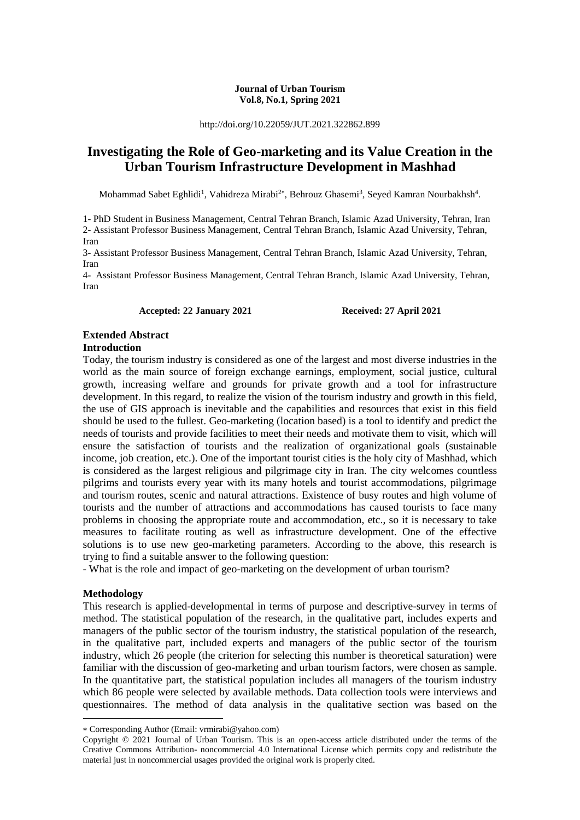### **Journal of Urban Tourism Vol.8, No.1, Spring 2021**

http://doi.org/10.22059/JUT.2021.322862.899

# **Investigating the Role of Geo-marketing and its Value Creation in the Urban Tourism Infrastructure Development in Mashhad**

Mohammad Sabet Eghlidi<sup>1</sup>, Vahidreza Mirabi<sup>2\*</sup>, Behrouz Ghasemi<sup>3</sup>, Seyed Kamran Nourbakhsh<sup>4</sup>.

1- PhD Student in Business Management, Central Tehran Branch, Islamic Azad University, Tehran, Iran 2- Assistant Professor Business Management, Central Tehran Branch, Islamic Azad University, Tehran, Iran

3- Assistant Professor Business Management, Central Tehran Branch, Islamic Azad University, Tehran, Iran

4- Assistant Professor Business Management, Central Tehran Branch, Islamic Azad University, Tehran, Iran

**Accepted: 22 January 2021 Received: 27 April 2021**

# **Extended Abstract**

### **Introduction**

Today, the tourism industry is considered as one of the largest and most diverse industries in the world as the main source of foreign exchange earnings, employment, social justice, cultural growth, increasing welfare and grounds for private growth and a tool for infrastructure development. In this regard, to realize the vision of the tourism industry and growth in this field, the use of GIS approach is inevitable and the capabilities and resources that exist in this field should be used to the fullest. Geo-marketing (location based) is a tool to identify and predict the needs of tourists and provide facilities to meet their needs and motivate them to visit, which will ensure the satisfaction of tourists and the realization of organizational goals (sustainable income, job creation, etc.). One of the important tourist cities is the holy city of Mashhad, which is considered as the largest religious and pilgrimage city in Iran. The city welcomes countless pilgrims and tourists every year with its many hotels and tourist accommodations, pilgrimage and tourism routes, scenic and natural attractions. Existence of busy routes and high volume of tourists and the number of attractions and accommodations has caused tourists to face many problems in choosing the appropriate route and accommodation, etc., so it is necessary to take measures to facilitate routing as well as infrastructure development. One of the effective solutions is to use new geo-marketing parameters. According to the above, this research is trying to find a suitable answer to the following question:

- What is the role and impact of geo-marketing on the development of urban tourism?

### **Methodology**

1

This research is applied-developmental in terms of purpose and descriptive-survey in terms of method. The statistical population of the research, in the qualitative part, includes experts and managers of the public sector of the tourism industry, the statistical population of the research, in the qualitative part, included experts and managers of the public sector of the tourism industry, which 26 people (the criterion for selecting this number is theoretical saturation) were familiar with the discussion of geo-marketing and urban tourism factors, were chosen as sample. In the quantitative part, the statistical population includes all managers of the tourism industry which 86 people were selected by available methods. Data collection tools were interviews and questionnaires. The method of data analysis in the qualitative section was based on the

Corresponding Author (Email: vrmirabi@yahoo.com)

Copyright © 2021 Journal of Urban Tourism. This is an open-access article distributed under the terms of the Creative Commons Attribution- noncommercial 4.0 International License which permits copy and redistribute the material just in noncommercial usages provided the original work is properly cited.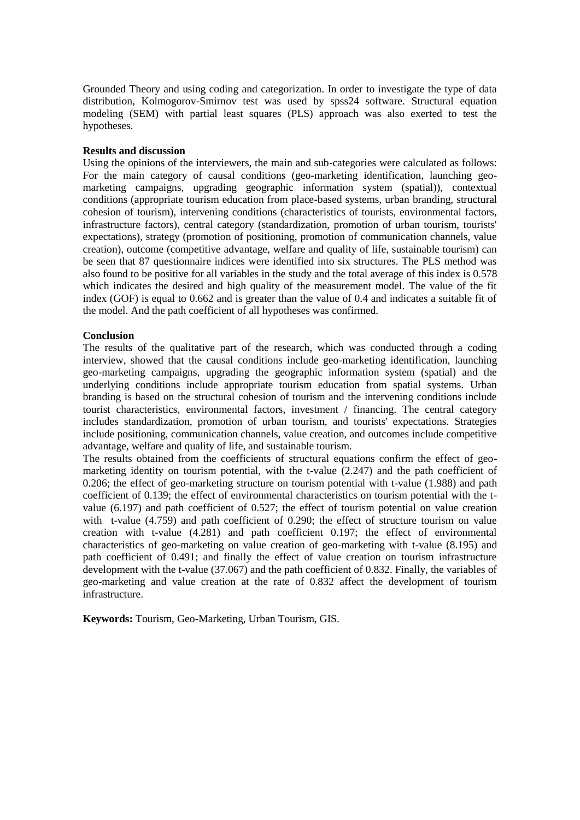Grounded Theory and using coding and categorization. In order to investigate the type of data distribution, Kolmogorov-Smirnov test was used by spss24 software. Structural equation modeling (SEM) with partial least squares (PLS) approach was also exerted to test the hypotheses.

### **Results and discussion**

Using the opinions of the interviewers, the main and sub-categories were calculated as follows: For the main category of causal conditions (geo-marketing identification, launching geomarketing campaigns, upgrading geographic information system (spatial)), contextual conditions (appropriate tourism education from place-based systems, urban branding, structural cohesion of tourism), intervening conditions (characteristics of tourists, environmental factors, infrastructure factors), central category (standardization, promotion of urban tourism, tourists' expectations), strategy (promotion of positioning, promotion of communication channels, value creation), outcome (competitive advantage, welfare and quality of life, sustainable tourism) can be seen that 87 questionnaire indices were identified into six structures. The PLS method was also found to be positive for all variables in the study and the total average of this index is 0.578 which indicates the desired and high quality of the measurement model. The value of the fit index (GOF) is equal to 0.662 and is greater than the value of 0.4 and indicates a suitable fit of the model. And the path coefficient of all hypotheses was confirmed.

### **Conclusion**

The results of the qualitative part of the research, which was conducted through a coding interview, showed that the causal conditions include geo-marketing identification, launching geo-marketing campaigns, upgrading the geographic information system (spatial) and the underlying conditions include appropriate tourism education from spatial systems. Urban branding is based on the structural cohesion of tourism and the intervening conditions include tourist characteristics, environmental factors, investment / financing. The central category includes standardization, promotion of urban tourism, and tourists' expectations. Strategies include positioning, communication channels, value creation, and outcomes include competitive advantage, welfare and quality of life, and sustainable tourism.

The results obtained from the coefficients of structural equations confirm the effect of geomarketing identity on tourism potential, with the t-value (2.247) and the path coefficient of 0.206; the effect of geo-marketing structure on tourism potential with t-value (1.988) and path coefficient of 0.139; the effect of environmental characteristics on tourism potential with the tvalue (6.197) and path coefficient of 0.527; the effect of tourism potential on value creation with t-value (4.759) and path coefficient of 0.290; the effect of structure tourism on value creation with t-value (4.281) and path coefficient 0.197; the effect of environmental characteristics of geo-marketing on value creation of geo-marketing with t-value (8.195) and path coefficient of 0.491; and finally the effect of value creation on tourism infrastructure development with the t-value (37.067) and the path coefficient of 0.832. Finally, the variables of geo-marketing and value creation at the rate of 0.832 affect the development of tourism infrastructure.

**Keywords:** Tourism, Geo-Marketing, Urban Tourism, GIS.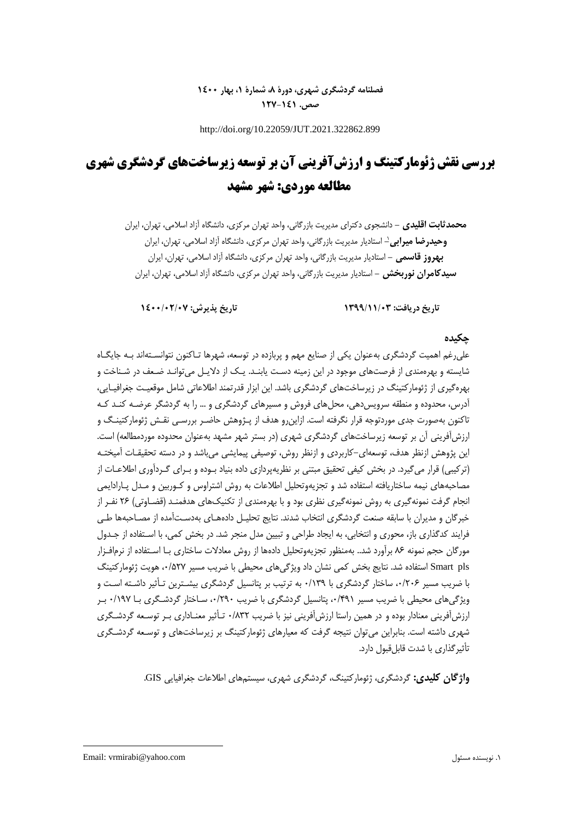## **فصلنامه گردشگری شهری، دورۀ ،8 شمارۀ ،1 بهار 1400 صص. 127-141**

http://doi.org/10.22059/JUT.2021.322862.899

# **بررسی نقش ژئومارکتینگ و ارزشآفرینی آن بر توسعه زیرساختهای گردشگری شهری مطالعه موردی: شهر مشهد**

**محمدثابت اقلیدی -** دانشجوی دکترای مدیریت بازرگانی، واحد تهران مرکزی، دانشگاه آزاد اسالمی، تهران، ایران **-** استادیار مدیریت بازرگانی، واحد تهران مرکزی، دانشگاه آزاد اسالمی، تهران، ایران <sup>1</sup> **وحیدرضا میرابی بهروز قاسمی -** استادیار مدیریت بازرگانی، واحد تهران مرکزی، دانشگاه آزاد اسالمی، تهران، ایران **سیدکامران نوربخش -** استادیار مدیریت بازرگانی، واحد تهران مرکزی، دانشگاه آزاد اسالمی، تهران، ایران

**تاریخ دریافت: 1399/11/03 تاریخ پذیرش: 1400/02/07**

### **چکیده**

علیرغم اهمیت گردشگری بهعنوان یکی از صنایع مهم و پربازده در توسعه، شهرها تـاکنون نتوانسـتهاند بـه جایگـاه شایسته و بهرهمندی از فرصتهای موجود در این زمینه دسـت یابنـد. یـک از دالیـل میتوانـد ضـعف در شـناخت و بهرهگیری از ژئومارکتینگ در زیرساختهای گردشگری باشد. این ابزار قدرتمند اطالعاتی شامل موقعیـت جغرافیـایی، آدرس، محدوده و منطقه سرویسدهی، محلهای فروش و مسیرهای گردشگری و ... را به گردشگر عرضـه کنـد کـه تاکنون بهصورت جدی موردتوجه قرار نگرفته است. ازاینرو هدف از پـژوهش حاضـر بررسـی نقـش ژئومارکتینـگ و ارزشآفرینی آن بر توسعه زیرساختهای گردشگری شهری (در بستر شهر مشهد بهعنوان محدوده موردمطالعه) است. این پژوهش ازنظر هدف، توسعهای-کاربردی و ازنظر روش، توصیفی پیمایشی میباشد و در دسته تحقیقـات آمیختـه )ترکیبی( قرار میگیرد. در بخش کیفی تحقیق مبتنی بر نظریهپردازی داده بنیاد بـوده و بـرای گـردآوری اطالعـات از مصاحبههای نیمه ساختاریافته استفاده شد و تجزیهوتحلیل اطالعات به روش اشتراوس و کـوربین و مـدل پـارادایمی انجام گرفت نمونهگیری به روش نمونهگیری نظری بود و با بهرهمندی از تکنیکهای هدفمنـد )قضـاوتی( 26 نفـر از خبرگان و مدیران با سابقه صنعت گردشگری انتخاب شدند. نتایج تحلیـل دادههـای بهدسـتآمده از مصـاحبهها طـی فرایند کدگذاری باز، محوری و انتخابی، به ایجاد طراحی و تبیین مدل منجر شد. در بخش کمی، با اسـتفاده از جـدول مورگان حجم نمونه 86 برآورد شد.. بهمنظور تجزیهوتحلیل دادهها از روش معادالت ساختاری بـا اسـتفاده از نرمافـزار pls Smart استفاده شد. نتایج بخش کمی نشان داد ویژگیهای محیطی با ضریب مسیر ،0/527 هویت ژئومارکتینگ با ضریب مسیر ۰/۲۰۶ ساختار گردشگری با ۰/۱۳۹ به ترتیب بر پتانسیل گردشگری بیشـترین تـأثیر داشـته اسـت و ویژگیهای محیطی با ضریب مسیر ،0/491 پتانسیل گردشگری با ضریب ،0/290 سـاختار گردشـگری بـا 0/197 بـر ارزشآفرینی معنادار بوده و در همین راستا ارزشآفرینی نیز با ضریب 0/832 تـأثیر معنـاداری بـر توسـعه گردشـگری شهری داشته است. بنابراین میتوان نتیجه گرفت که معیارهای ژئومارکتینگ بر زیرساختهای و توسـعه گردشـگری تأثیرگذاری با شدت قابلقبول دارد.

**واژگان کلیدی:** گردشگری، ژئومارکتینگ، گردشگری شهری، سیستمهای اطالعات جغرافیایی GIS.

1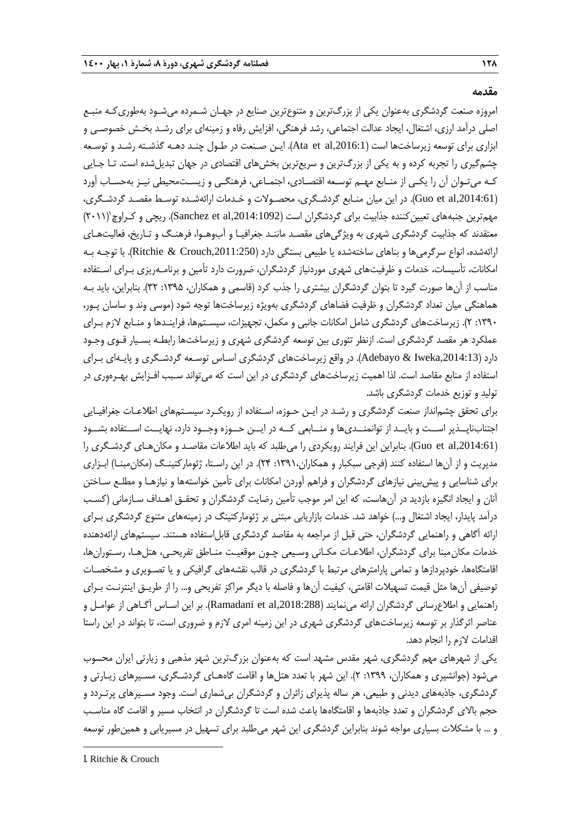**مقدمه**

امروزه صنعت گردشگری بهعنوان یکی از بزرگترین و متنوعترین صنایع در جهـان شـمرده میشـود بهطوریکـه منبـع اصلی درآمد ارزی، اشتغال، ایجاد عدالت اجتماعی، رشد فرهنگی، افزایش رفاه و زمینهای برای رشـد بخـش خصوصـی و ابزاری برای توسعه زیرساختها است (Ata et al,2016:1). ایـن صـنعت در طـول چنـد دهـه گذشـته رشـد و توسـعه چشمگیری را تجربه کرده و به یکی از بزرگترین و سریعترین بخشهای اقتصادی در جهان تبدیلشده است. تـا جـایی کـه میتـوان آن را یکـی از منـابع مهـم توسـعه اقتصـادی، اجتمـاعی، فرهنگـی و زیسـتمحیطی نیـز بهحسـاب آورد ),2014:61al et Guo). در این میان منـابع گردشـگری، محصـوالت و خـدمات ارائهشـده توسـ مقصـد گردشـگری، مهمترین جنبههای تعیینکننده جذابیت برای گردشگران است (Sanchez et al,2014:1092). ریچی و کـراوچ`(۲۰۱۱) معتقدند که جذابیت گردشگری شهری به ویژگیهای مقصـد ماننـد جغرافیـا و آبوهـوا، فرهنـگ و تـاریخ، فعالیتهـای ارائهشده، انواع سرگرمیها و بناهای ساختهشده یا طبیعی بستگی دارد ),2011:250Crouch & Ritchie). با توجـه بـه امکانات، تأسیسات، خدمات و ظرفیتهای شهری موردنیاز گردشگران، ضرورت دارد تأمین و برنامـهریزی بـرای اسـتفاده مناسب از آنها صورت گیرد تا بتوان گردشگران بیشتری را جذب کرد (قاسمی و همکاران، ۱۳۹۵: ۳۲). بنابراین، باید بـه هماهنگی میان تعداد گردشگران و ظرفیت فضاهای گردشگری بهویژه زیرساختها توجه شود )موسی وند و ساسان پـور، :1390 2(. زیرساختهای گردشگری شامل امکانات جانبی و مکمل، تجهیزات، سیسـتمها، فراینـدها و منـابع الزم بـرای عملکرد هر مقصد گردشگری است. ازنظر تئوری بین توسعه گردشگری شهری و زیرساختها رابطـه بسـیار قـوی وجـود دارد ),2014:13Iweka & Adebayo). در واقع زیرساختهای گردشگری اسـاس توسـعه گردشـگری و پایـهای بـرای استفاده از منابع مقاصد است. لذا اهمیت زیرساختهای گردشگری در این است که میتواند سـبب افـزایش بهـرهوری در تولید و توزیع خدمات گردشگری باشد.

برای تحقق چشمانداز صنعت گردشگری و رشـد در ایـن حـوزه، اسـتفاده از رویکـرد سیسـتمهای اطالعـات جغرافیـایی اجتنابناپــذیر اســت و بایــد از توانمنــدیها و منــابعی کــه در ایــن حــوزه وجــود دارد، نهایــت اســتفاده بشــود ),2014:61al et Guo). بنابراین این فرایند رویکردی را میطلبد که باید اطالعات مقاصـد و مکانهـای گردشـگری را مدیریت و از آنها استفاده کنند )فرجی سبکبار و همکاران:1391، 24(. در این راسـتا، ژئومارکتینـگ )مکانمبنـا( ابـزاری برای شناسایی و پیشبینی نیازهای گردشگران و فراهم آوردن امکانات برای تأمین خواستهها و نیازهـا و مطلـع سـاختن آنان و ایجاد انگیزه بازدید در آنهاست، که این امر موجب تأمین رضایت گردشگران و تحقـق اهـداف سـازمانی )کسـب درآمد پایدار، ایجاد اشتغال و...) خواهد شد. خدمات بازاریابی مبتنی بر ژئومارکتینگ در زمینههای متنوع گردشگری بـرای ارائه آگاهی و راهنمایی گردشگران، حتی قبل از مراجعه به مقاصد گردشگری قابل|ستفاده هستند. سیستمهای ارائهدهنده خدمات مکانمبنا برای گردشگران، اطالعـات مکـانی وسـیعی چـون موقعیـت منـاطق تفریحـی، هتلهـا، رسـتورانها، اقامتگاهها، خودپردازها و تمامی پارامترهای مرتب با گردشگری در قالب نقشههای گرافیکی و یا تصـویری و مشخصـات توصیفی آنها مثل قیمت تسهیالت اقامتی، کیفیت آنها و فاصله با دیگر مراکز تفریحی و... را از طریـق اینترنـت بـرای راهنمایی و اطالعرسانی گردشگران ارائه مینمایند ),2018:288al et Ramadani). بر این اسـاس آگـاهی از عوامـل و عناصر اثرگذار بر توسعه زیرساختهای گردشگری شهری در این زمینه امری لازم و ضروری است، تا بتواند در این راستا اقدامات الزم را انجام دهد.

یکی از شهرهای مهم گردشگری، شهر مقدس مشهد است که بهعنوان بزرگترین شهر مذهبی و زیارتی ایران محسوب میشود (جوانشیری و همکاران، ١٣٩٩: ٢). این شهر با تعدد هتلها و اقامت گاههـای گردشـگری، مسـیرهای زیـارتی و گردشگری، جاذبههای دیدنی و طبیعی، هر ساله پذیرای زائران و گردشگران بیشماری است. وجود مسـیرهای پرتـردد و حجم بالای گردشگران و تعدد جاذبهها و اقامتگاهها باعث شده است تا گردشگران در انتخاب مسیر و اقامت گاه مناسب و ... با مشکالت بسیاری مواجه شوند بنابراین گردشگری این شهر میطلبد برای تسهیل در مسیریابی و همینطور توسعه

**.** 

<sup>1</sup>. Ritchie & Crouch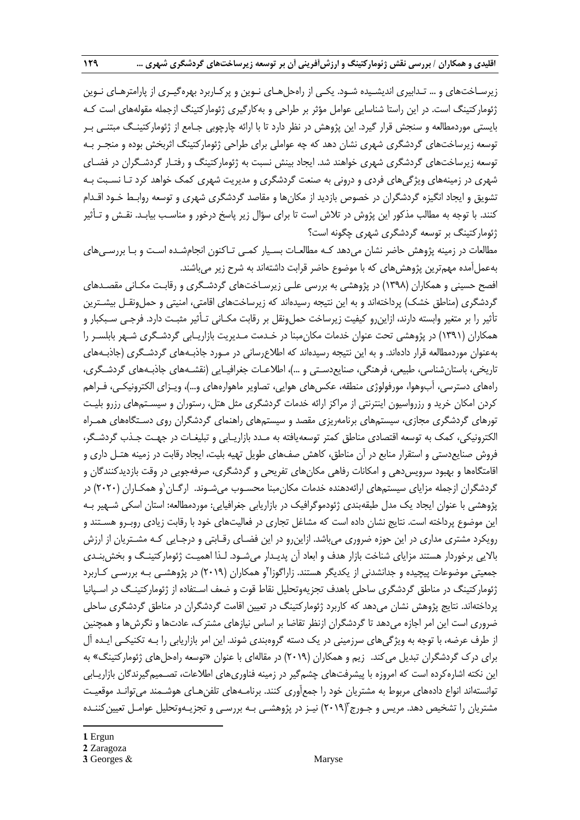زیرسـاختهای و ... تـدابیری اندیشـیده شـود. یکـی از راهحلهـای نـوین و پرکـاربرد بهرهگیـری از پارامترهـای نـوین ژئومارکتینگ است. در این راستا شناسایی عوامل مؤثر بر طراحی و بهکارگیری ژئومارکتینگ ازجمله مقولههای است کـه بایستی موردمطالعه و سنجش قرار گیرد. این پژوهش در نظر دارد تا با ارائه چارچوبی جـامع از ژئومارکتینـگ مبتنـی بـر توسعه زیرساختهای گردشگری شهری نشان دهد که چه عواملی برای طراحی ژئومارکتینگ اثربخش بوده و منجـر بـه توسعه زیرساختهای گردشگری شهری خواهند شد. ایجاد بینش نسبت به ژئومارکتینگ و رفتـار گردشـگران در فضـای شهری در زمینههای ویژگیهای فردی و درونی به صنعت گردشگری و مدیریت شهری کمک خواهد کرد تـا نسـبت بـه تشویق و ایجاد انگیزه گردشگران در خصوص بازدید از مکانها و مقاصد گردشگری شهری و توسعه روابـط خـود اقـدام کنند. با توجه به مطالب مذکور این پژوش در تالش است تا برای سؤال زیر پاسخ درخور و مناسـب بیابـد. نقـش و تـأثیر ژئومارکتینگ بر توسعه گردشگری شهری چگونه است؟

مطالعات در زمینه پژوهش حاضر نشان میدهد کـه مطالعـات بسـیار کمـی تـاکنون انجامشـده اسـت و بـا بررسـیهای بهعملآمده مهمترین پژوهشهای که با موضوع حاضر قرابت داشتهاند به شرح زیر میباشند.

افصح حسینی و همکاران )1398( در پژوهشی به بررسی علـی زیرسـاختهای گردشـگری و رقابـت مکـانی مقصـدهای گردشگری (مناطق خشک) پرداختهاند و به این نتیجه رسیدهاند که زیرساختهای اقامتی، امنیتی و حملونقـل بیشـترین تأثیر را بر متغیر وابسته دارند، ازاینرو کیفیت زیرساخت حملونقل بر رقابت مکـانی تـأثیر مثبـت دارد. فرجـی سـبکبار و همکاران )1391( در پژوهشی تحت عنوان خدمات مکانمبنا در خـدمت مـدیریت بازاریـابی گردشـگری شـهر بابلسـر را بهعنوان موردمطالعه قرار دادهاند. و به این نتیجه رسیدهاند که اطالعرسانی در مـورد جاذبـههای گردشـگری )جاذبـههای تاریخی، باستان شناسی، طبیعی، فرهنگی، صنایعدسـتی و …)، اطلاعـات جغرافیـایی (نقشـههای جاذبـههای گردشـگری، راههای دسترسی، آبوهوا، مورفولوژی منطقه، عکسهای هوایی، تصاویر ماهوارههای و...)، ویـزای الکترونیکـی، فـراهم کردن امکان خرید و رزرواسیون اینترنتی از مراکز ارائه خدمات گردشگری مثل هتل، رستوران و سیسـتمهای رزرو بلیـت تورهای گردشگری مجازی، سیستمهای برنامهریزی مقصد و سیستمهای راهنمای گردشگران روی دسـتگاههای همـراه الکترونیکی، کمک به توسعه اقتصادی مناطق کمتر توسعهیافته به مـدد بازاریـابی و تبلیغـات در جهـت جـذب گردشـگر، فروش صنایعدستی و استقرار منابع در آن مناطق، کاهش صفهای طویل تهیه بلیت، ایجاد رقابت در زمینه هتـل داری و اقامتگاهها و بهبود سرویسدهی و امکانات رفاهی مکانهای تفریحی و گردشگری، صرفهجویی در وقت بازدیدکنندگان و گردشگران ازجمله مزایای سیستمهای ارائهدهنده خدمات مکانءبنا محسـوب میشـوند. ارگـان`و همکـاران (۲۰۲۰) در پژوهشی با عنوان ایجاد یک مدل طبقهبندی ژئودموگرافیک در بازاریابی جغرافیایی: موردمطالعه: استان اسکی شـهیر بـه این موضوع پرداخته است. نتایج نشان داده است که مشاغل تجاری در فعالیتهای خود با رقابت زیادی روبـرو هسـتند و رویکرد مشتری مداری در این حوزه ضروری میباشد. ازاینرو در این فضـای رقـابتی و درجـایی کـه مشـتریان از ارزش باالیی برخوردار هستند مزایای شناخت بازار هدف و ابعاد آن پدیـدار میشـود. لـذا اهمیـت ژئومارکتینـگ و بخشبنـدی جمعیتی موضوعات پیچیده و جدانشدنی از یکدیگر هستند. زاراگوزا<sup>۲</sup>و همکاران (۲۰۱۹) در پژوهشـی بـه بررسـی کـاربرد ژئومارکتینگ در مناطق گردشگری ساحلی باهدف تجزیهوتحلیل نقاط قوت و ضعف اسـتفاده از ژئومارکتینـگ در اسـپانیا پرداختهاند. نتایج پژوهش نشان میدهد که کاربرد ژئومارکتینگ در تعیین اقامت گردشگران در مناطق گردشگری ساحلی ضروری است این امر اجازه میدهد تا گردشگران ازنظر تقاضا بر اساس نیازهای مشترك، عادتها و نگرشها و همچنین از طرف عرضه، با توجه به ویژگیهای سرزمینی در یک دسته گروهبندی شوند. این امر بازاریابی را بـه تکنیکـی ایـده آل برای درك گردشگران تبدیل میکند. زیم و همکاران )2019( در مقالهای با عنوان »توسعه راهحلهای ژئومارکتینگ« به این نکته اشارهکرده است که امروزه با پیشرفتهای چشمگیر در زمینه فناوریهای اطالعات، تصـمیمگیرندگان بازاریـابی توانستهاند انواع دادههای مربوط به مشتریان خود را جمعآوری کنند. برنامـههای تلفنهـای هوشـمند میتوانـد موقعیـت مشتریان را تشخیص دهد. مریس و جـورج"(۲۰۱۹) نیـز در پژوهشـی بـه بررسـی و تجزیـهوتحلیل عوامـل تعیینکننـده

#### **1**. Ergun

1

**2**. Zaragoza

**<sup>3</sup>**. Georges & Maryse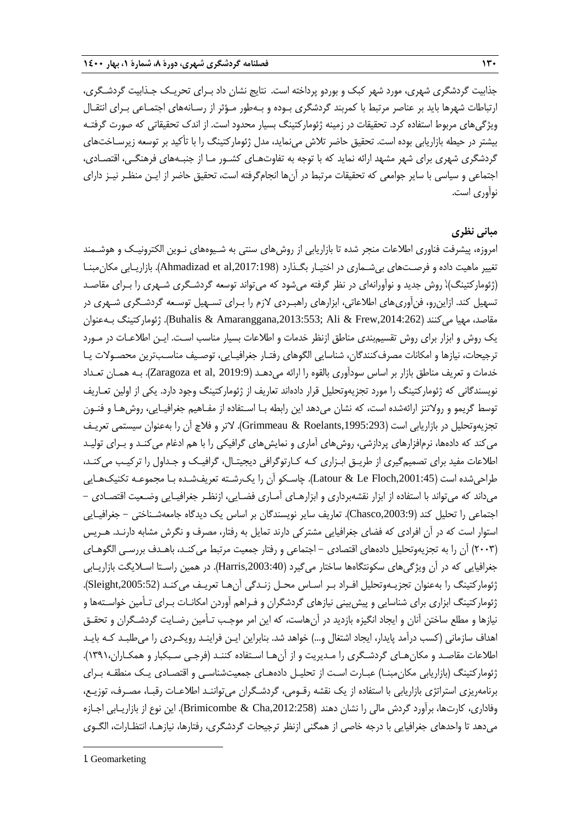جذابیت گردشگری شهری، مورد شهر کبک و بوردو پرداخته است. نتایج نشان داد بـرای تحریـک جـذابیت گردشـگری، ارتباطات شهرها باید بر عناصر مرتبط با کمربند گردشگری بـوده و بـهطور مـؤثر از رسـانههای اجتمـاعی بـرای انتقـال ویژگیهای مربوط استفاده کرد. تحقیقات در زمینه ژئومارکتینگ بسیار محدود است. از اندك تحقیقاتی که صورت گرفتـه بیشتر در حیطه بازاریابی بوده است. تحقیق حاضر تالش مینماید، مدل ژئومارکتینگ را با تأکید بر توسعه زیرسـاختهای گردشگری شهری برای شهر مشهد ارائه نماید که با توجه به تفاوتهـای کشـور مـا از جنبـههای فرهنگـی، اقتصـادی، اجتماعی و سیاسی با سایر جوامعی که تحقیقات مرتبط در آنها انجامگرفته است، تحقیق حاضر از ایـن منظـر نیـز دارای نوآوری است.

## **مبانی نظری**

امروزه، پیشرفت فناوری اطالعات منجر شده تا بازاریابی از روشهای سنتی به شـیوههای نـوین الکترونیـک و هوشـمند تغییر ماهیت داده و فرصـتهای بیشـماری در اختیـار بگـذارد ),2017:198al et Ahmadizad). بازاریـابی مکانمبنـا (ژئومارکتینگ)،ٰ روش جدید و نواَورانهای در نظر گرفته میشود که میتواند توسعه گردشـگری شـهری را بـرای مقاصـد تسهیل کند. ازاینرو، فنآوریهای اطالعاتی، ابزارهای راهبـردی الزم را بـرای تسـهیل توسـعه گردشـگری شـهری در مقاصد، مهیا میکنند ),2014:262Frew & Ali; ,2013:553Amaranggana & Buhalis). ژئومارکتینگ بـهعنوان یک روش و ابزار برای روش تقسیمبندی مناطق ازنظر خدمات و اطالعات بسیار مناسب اسـت. ایـن اطالعـات در مـورد ترجیحات، نیازها و امکانات مصرفکنندگان، شناسایی الگوهای رفتـار جغرافیـایی، توصـیف مناسـبترین محصـوالت یـا خدمات و تعریف مناطق بازار بر اساس سودآوری بالقوه را ارائه میدهـد (Zaragoza et al, 2019:9). بـه همـان تعـداد نویسندگانی که ژئومارکتینگ را مورد تجزیهوتحلیل قرار دادهاند تعاریف از ژئومارکتینگ وجود دارد. یکی از اولین تعـاریف توسط گریمو و رولاتنز ارائهشده است، که نشان میدهد این رابطه بـا اسـتفاده از مفـاهیم جغرافیـایی، روش۵هـا و فنـون تجزیهوتحلیل در بازاریابی است (Grimmeau & Roelants,1995:293). لاتر و فلاچ آن را بهعنوان سیستمی تعریـف میکند که دادهها، نرمافزارهای پردازشی، روشهای آماری و نمایشهای گرافیکی را با هم ادغام میکنـد و بـرای تولیـد اطلاعات مفید برای تصمیمگیری از طریـق ابـزاری کـه کـارتوگرافی دیجیتـال، گرافیـک و جـداول را ترکیـب می کنـد، طراحیشده است ),2001:45Floch Le & Latour). چاسـکو آن را یکرشـته تعریفشـده بـا مجموعـه تکنیکهـایی میداند که میتواند با استفاده از ابزار نقشهبرداری و ابزارهـای آمـاری فضـایی، ازنظـر جغرافیـایی وضـعیت اقتصـادی - اجتماعی را تحلیل کند ),2003:9Chasco). تعاریف سایر نویسندگان بر اساس یک دیدگاه جامعهشـناختی - جغرافیـایی استوار است که در آن افرادی که فضای جغرافیایی مشترکی دارند تمایل به رفتار، مصرف و نگرش مشابه دارنـد. هـریس (۲۰۰۳) آن را به تجزیهوتحلیل دادههای اقتصادی – اجتماعی و رفتار جمعیت مرتبط میکنـد، باهـدف بررسـی الگوهـای جغرافیایی که در آن ویژگیهای سکونتگاهها ساختار میگیرد (Harris,2003:40). در همین راسـتا اسـلایگت بازاریــابی ژئومارکتینگ را بهعنوان تجزیـهوتحلیل افـراد بـر اسـاس محـل زنـدگی آنهـا تعریـف میکنـد ),2005:52Sleight). ژئومارکتینگ ابزاری برای شناسایی و پیشبینی نیازهای گردشگران و فـراهم آوردن امکانـات بـرای تـأمین خواسـتهها و نیازها و مطلع ساختن آنان و ایجاد انگیزه بازدید در آنهاست، که این امر موجـب تـأمین رضـایت گردشـگران و تحقـق اهداف سازمانی (کسب درآمد پایدار، ایجاد اشتغال و…) خواهد شد. بنابراین ایـن فراینـد رویکـردی را میطلبـد کـه بایـد اطلاعات مقاصـد و مکان هـای گردشـگری را مـدیریت و از آن هـا اسـتفاده کننـد (فرجـی سـبکبار و همکـاران١٣٩١،). ژئومارکتینگ (بازاریابی مکان مبنـا) عبـارت اسـت از تحلیـل دادههـای جمعیتشناسـی و اقتصـادی یـک منطقـه بـرای برنامهریزی استراتژی بازاریابی با استفاده از یک نقشه رقـومی، گردشـگران میتواننـد اطالعـات رقبـا، مصـرف، توزیـع، وفاداری، کارتها، برآورد گردش مالی را نشان دهند ),2012:258Cha & Brimicombe). این نوع از بازاریـابی اجـازه میدهد تا واحدهای جغرافیایی با درجه خاصی از همگنی ازنظر ترجیحات گردشگری، رفتارها، نیازهـا، انتظـارات، الگـوی

1. Geomarketing

**.**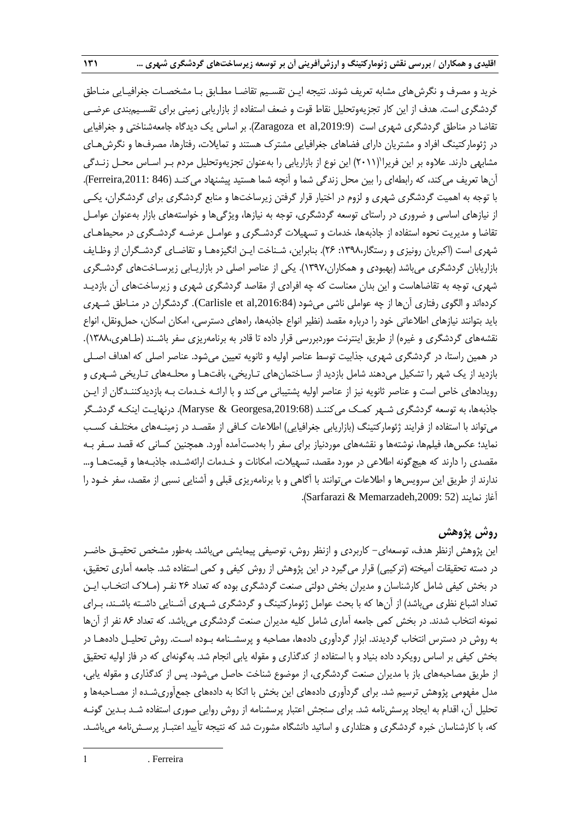خرید و مصرف و نگرشهای مشابه تعریف شوند. نتیجه ایـن تقسـیم تقاضـا مطـابق بـا مشخصـات جغرافیـایی منـاطق گردشگری است. هدف از این کار تجزیهوتحلیل نقاط قوت و ضعف استفاده از بازاریابی زمینی برای تقسـیمبندی عرضـی تقاضا در مناطق گردشگری شهری است (2019:9غm2a) et al اساس یک دیدگاه جامعهشناختی و جغرافیایی در ژئومارکتینگ افراد و مشتریان دارای فضاهای جغرافیایی مشترك هستند و تمایالت، رفتارها، مصرفها و نگرشهـای مشابهی دارند. علاوه بر این فریرا'(۲۰۱۱) این نوع از بازاریابی را بهعنوان تجزیهوتحلیل مردم بـر اسـاس محـل زنـدگی آنها تعریف میکند، که رابطهای را بین محل زندگی شما و آنچه شما هستید پیشنهاد میکنـد )846 ,2011:Ferreira). با توجه به اهمیت گردشگری شهری و لزوم در اختیار قرار گرفتن زیرساختها و منابع گردشگری برای گردشگران، یکـی از نیازهای اساسی و ضروری در راستای توسعه گردشگری، توجه به نیازها، ویژگیها و خواستههای بازار بهعنوان عوامـل تقاضا و مدیریت نحوه استفاده از جاذبهها، خدمات و تسهیلات گردشـگری و عوامـل عرضـه گردشـگری در محیطهـای شهری است (اکبریان رونیزی و رستگار،۱۳۹۸: ۲۶). بنابراین، شـناخت ایـن انگیزههـا و تقاضـای گردشـگران از وظـایف بازاریابان گردشگری میباشد )بهبودی و همکاران1397،(. یکی از عناصر اصلی در بازاریـابی زیرسـاختهای گردشـگری شهری، توجه به تقاضاهاست و این بدان معناست که چه افرادی از مقاصد گردشگری شهری و زیرساختهای آن بازدیـد کردهاند و الگوی رفتاری آنها از چه عواملی ناشی میشود ),2016:84al et Carlisle). گردشگران در منـاطق شـهری باید بتوانند نیازهای اطالعاتی خود را درباره مقصد )نظیر انواع جاذبهها، راههای دسترسی، امکان اسکان، حملونقل، انواع نقشههای گردشگری و غیره) از طریق اینترنت موردبررسی قرار داده تا قادر به برنامهریزی سفر باشـند (طـاهری،١٣٨٨). در همین راستا، در گردشگری شهری، جذابیت توسط عناصر اولیه و ثانویه تعیین میشود. عناصر اصلی که اهداف اصـلی بازدید از یک شهر را تشکیل میدهند شامل بازدید از سـاختمانهای تـاریخی، بافتهـا و محلـههای تـاریخی شـهری و رویدادهای خاص است و عناصر ثانویه نیز از عناصر اولیه پشتیبانی میکند و با ارائـه خـدمات بـه بازدیدکننـدگان از ایـن جاذبهها، به توسعه گردشگری شـهر کمـک میکننـد (Maryse & Georgesa,2019:68). درنهایـت اینکـه گردشـگر میتواند با استفاده از فرایند ژئومارکتینگ (بازاریابی جغرافیایی) اطلاعات کـافی از مقصـد در زمینـههای مختلـف کسـب نماید؛ عکسها، فیلمها، نوشتهها و نقشههای موردنیاز برای سفر را بهدستآمده آورد. همچنین کسانی که قصد سـفر بـه مقصدی را دارند که هیچگونه اطالعی در مورد مقصد، تسهیالت، امکانات و خـدمات ارائهشـده، جاذبـهها و قیمتهـا و... ندارند از طریق این سرویسها و اطالعات میتوانند با آگاهی و با برنامهریزی قبلی و آشنایی نسبی از مقصد، سفر خـود را آغاز نمایند )52 ,2009:Memarzadeh & Sarfarazi).

# **روش پژوهش**

این پژوهش ازنظر هدف، توسعهای- کاربردی و ازنظر روش، توصیفی پیمایشی میباشد. بهطور مشخص تحقیـق حاضـر در دسته تحقیقات آمیخته )ترکیبی( قرار میگیرد در این پژوهش از روش کیفی و کمی استفاده شد. جامعه آماری تحقیق، در بخش کیفی شامل کارشناسان و مدیران بخش دولتی صنعت گردشگری بوده که تعداد 26 نفـر )مـالك انتخـاب ایـن تعداد اشباع نظری میباشد) از آنها که با بحث عوامل ژئومارکتینگ و گردشگری شـهری آشـنایی داشـته باشـند، بـرای نمونه انتخاب شدند. در بخش کمی جامعه آماری شامل کلیه مدیران صنعت گردشگری میباشد. که تعداد 86 نفر از آنها به روش در دسترس انتخاب گردیدند. ابزار گردآوری دادهها، مصاحبه و پرسشـنامه بـوده اسـت. روش تحلیـل دادههـا در بخش کیفی بر اساس رویکرد داده بنیاد و با استفاده از کدگذاری و مقوله یابی انجام شد. بهگونهای که در فاز اولیه تحقیق از طریق مصاحبههای باز با مدیران صنعت گردشگری، از موضوع شناخت حاصل میشود. پس از کدگذاری و مقوله یابی، مدل مفهومی پژوهش ترسیم شد. برای گردآوری دادههای این بخش با اتکا به دادههای جمعآوریشـده از مصـاحبهها و تحلیل آن، اقدام به ایجاد پرسشنامه شد. برای سنجش اعتبار پرسشنامه از روش روایی صوری استفاده شـد بـدین گونـه که، با کارشناسان خبره گردشگری و هتلداری و اساتید دانشگاه مشورت شد که نتیجه تأیید اعتبـار پرسـشنامه میباشـد.

1 . Ferreira

-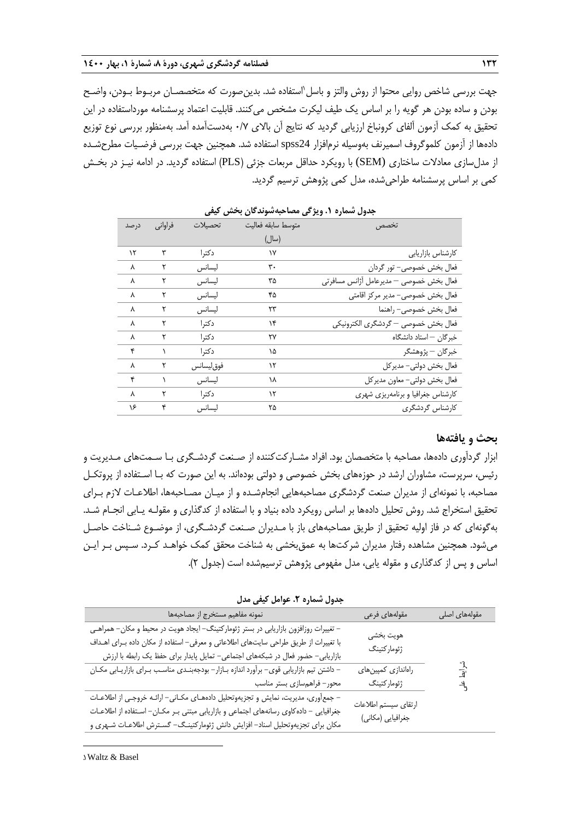جهت بررسی شاخص روایی محتوا از روش والتز و باسل ۱ستفاده شد. بدینصورت که متخصصـان مربـوط بـودن، واضـح بودن و ساده بودن هر گویه را بر اساس یک طیف لیکرت مشخص میکنند. قابلیت اعتماد پرسشنامه مورداستفاده در این تحقیق به کمک آزمون آلفای کرونباخ ارزیابی گردید که نتایج آن باالی 0/7 بهدستآمده آمد. بهمنظور بررسی نوع توزیع دادهها از آزمون کلموگروف اسمیرنف بهوسیله نرمافزار 24spss استفاده شد. همچنین جهت بررسی فرضـیات مطرحشـده از مدلسازی معادالت ساختاری (SEM (با رویکرد حداقل مربعات جزئی )PLS )استفاده گردید. در ادامه نیـز در بخـش کمی بر اساس پرسشنامه طراحیشده، مدل کمی پژوهش ترسیم گردید.

| درصد | فراواني | تحصىلات    | متوسط سابقه فعاليت | تخصص                                    |
|------|---------|------------|--------------------|-----------------------------------------|
|      |         |            | (سال)              |                                         |
| ۱۲   | ٣       | دكترا      | ۱۷                 | كارشناس بازاريابي                       |
| λ    |         | ليسانس     | ٣٠                 | فعال بخش خصوصي- تور گردان               |
| Λ    | ٢       | ليسانس     | ۳۵                 | فعال بخش خصوصي – مديرعامل أژانس مسافرتي |
| Λ    | ٢       | ليسانس     | ۴۵                 | فعال بخش خصوصي- مدير مركز اقامتي        |
| Λ    |         | ليسانس     | ۲۳                 | فعال بخش خصوصي- راهنما                  |
| ٨    | ٢       | دكترا      | ۱۴                 | فعال بخش خصوصي — گردشگري الكترونيكي     |
| λ    | ٢       | دكترا      | ٢٧                 | خبرگان – استاد دانشگاه                  |
| ۴    |         | دكترا      | ۱۵                 | خبرگان — پژوهشگر                        |
| λ    | ٢       | فوق ليسانس | ۱۲                 | فعال بخش دولتي- مديركل                  |
| ۴    |         | ليسانس     | ۱۸                 | فعال بخش دولتي- معاون مديركل            |
| λ    | ٢       | دكترا      | ۱۲                 | کارشناس جغرافیا و برنامهریزی شهری       |
| ۱۶   | ۴       | ليسانس     | ۲۵                 | كارشناس گردشگرى                         |

**جدول شماره .1 ویژگی مصاحبهشوندگان بخش کیفی**

### **بحث و یافتهها**

ابزار گردآوری دادهها، مصاحبه با متخصصان بود. افراد مشـارکتکننده از صـنعت گردشـگری بـا سـمتهای مـدیریت و رئیس، سرپرست، مشاوران ارشد در حوزههای بخش خصوصی و دولتی بودهاند. به این صورت که بـا اسـتفاده از پروتکـل مصاحبه، با نمونهای از مدیران صنعت گردشگری مصاحبههایی انجامشـده و از میـان مصـاحبهها، اطالعـات الزم بـرای تحقیق استخراج شد. روش تحلیل دادهها بر اساس رویکرد داده بنیاد و با استفاده از کدگذاری و مقولـه یـابی انجـام شـد. بهگونهای که در فاز اولیه تحقیق از طریق مصاحبههای باز با مـدیران صـنعت گردشـگری، از موضـوع شـناخت حاصـل میشود. همچنین مشاهده رفتار مدیران شرکتها به عمقبخشی به شناخت محقق کمک خواهـد کـرد. سـپس بـر ایـن اساس و پس از کدگذاری و مقوله یابی، مدل مفهومی پژوهش ترسیمشده است )جدول 2(.

شرای علی مقولههای اصلی مقولههای فرعی نمونه مفاهیم مستخرج از مصاحبهها هویت بخشی ژئومارکتینگ – تغییرات روزافزون بازاریابی در بستر ژئومارکتینگ– ایجاد هویت در محیط و مکان– همراهـی با تغییرات از طریق طراحی سایتهای اطالعاتی و معرفی- استفاده از مکان داده بـرای اهـداف بازاریابی- حضور فعال در شبکههای اجتماعی- تمایل پایدار برای حفظ یک رابطه با ارزش راهاندازی کمپینهای ژئومارکتینگ - داشتن تیم بازاریابی قوی- برآورد اندازه بـازار- بودجهبنـدی مناسـب بـرای بازاریـابی مکـان محور- فراهمسازی بستر مناسب ارتقای سیستم اطالعات جغرافیایی (مکانی) - جمعآوری، مدیریت، نمایش و تجزیهوتحلیل دادههـای مکـانی- ارائـه خروجـی از اطالعـات جغرافیایی - دادهکاوی رسانههای اجتماعی و بازاریابی مبتنی بـر مکـان- اسـتفاده از اطالعـات مکان برای تجزیهوتحلیل اسناد- افزایش دانش ژئومارکتینـگ- گسـترش اطالعـات شـهری و

**جدول شماره .2 عوامل کیفی مدل**

1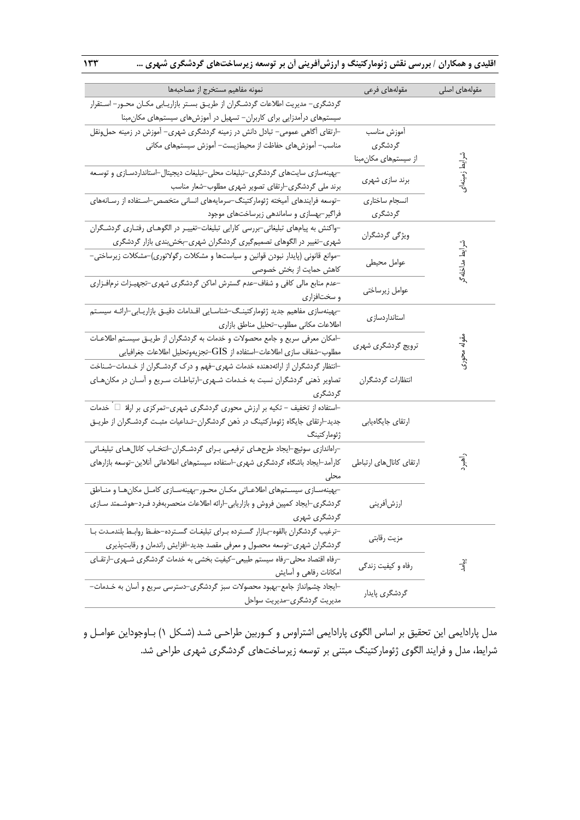**اقلیدی و همکاران / بررسی نقش ژئومارکتینگ و ارزشآفرینی آن بر توسعه زیرساختهای گردشگری شهری ... 133**

| نمونه مفاهيم مستخرج از مصاحبهها                                                        | مقولههاى فرعى           | مقولههای اصلی   |
|----------------------------------------------------------------------------------------|-------------------------|-----------------|
| گردشگری– مدیریت اطلاعات گردشگران از طریـق بسـتر بازاریـابی مکـان محـور– اسـتقرار       |                         |                 |
| سیستمهای درآمدزایی برای کاربران– تسهیل در آموزشهای سیستمهای مکان مبنا                  |                         |                 |
| ⊣رتقای آگاهی عمومی− تبادل دانش در زمینه گردشگری شهری− آموزش در زمینه حملونقل           | أموزش مناسب             |                 |
| مناسب– آموزشهای حفاظت از محیطزیست– آموزش سیستمهای مکانی                                | گردشگری                 |                 |
|                                                                                        | از سیستمهای مکانءبنا    |                 |
| -بهینهسازی سایتهای گردشگری-تبلیغات محلی-تبلیغات دیجیتال-استانداردسـازی و توسـعه        |                         | شرايط زمينهاى   |
| برند ملی گردشگری–ارتقای تصویر شهری مطلوب–شعار مناسب                                    | برند سازی شهری          |                 |
| –توسعه فرایندهای آمیخته ژئومارکتینگ–سرمایههای انسانی متخصص–اسـتفاده از رسـانههای       | انسجام ساختاري          |                 |
| فراگیر-بهسازی و ساماندهی زیرساختهای موجود                                              | گردشگری                 |                 |
| −واکنش به پیامهای تبلیغاتی−بررسی کارایی تبلیغات−تغییـر در الگوهـای رفتـاری گردشـگران   | ویژگی گردشگران          |                 |
| شهری-تغییر در الگوهای تصمیمگیری گردشگران شهری-بخشبندی بازار گردشگری                    |                         |                 |
| –موانع قانونی (پایدار نبودن قوانین و سیاستها و مشکلات رگولاتوری)–مشکلات زیرساختی–      |                         |                 |
| كاهش حمايت از بخش خصوصى                                                                | عوامل محيطى             | شرايط مداخله گر |
| –عدم منابع مالی کافی و شفاف–عدم گسترش اماکن گردشگری شهری–تجهیـزات نرمافـزاری           | عوامل زيرساختي          |                 |
| و سختافزاری                                                                            |                         |                 |
| -بهینهسازی مفاهیم جدید ژئومارکتینگ–شناسـایی اقـدامات دقیـق بازاریـابی-ارائـه سیسـتم    | استانداردسازى           |                 |
| اطلاعات مكانى مطلوب-تحليل مناطق بازارى                                                 |                         |                 |
| ⊣مکان معرفی سریع و جامع محصولات و خدمات به گردشگران از طریـق سیسـتم اطلاعـات           | ترویج گردشگری شهری      |                 |
| مطلوب–شفاف سازى اطلاعات–استفاده از $\operatorname{GIS}$ -تجزيهوتحليل اطلاعات جغرافيايي |                         | مقوله محورى     |
| ⊣نتظار گردشگران از ارائهدهنده خدمات شهری−فهم و درک گردشگران از خـدمات−شـناخت           |                         |                 |
| تصاویر ذهنی گردشگران نسبت به خـدمات شـهری–ارتباطـات سـریع و آسـان در مکانِهـای         | انتظارات گردشگران       |                 |
| گردشگری                                                                                |                         |                 |
| ⊣ستفاده از تخفیف – تکیه بر ارزش محوری گردشگری شهری−تمرکزی بر ارلهٔ □ خدمات             |                         |                 |
| جدید-ارتقای جایگاه ژئومارکتینگ در ذهن گردشگران-تـداعیات مثبـت گردشـگران از طریـق       | ارتقاي جايگاهيابي       |                 |
| ژئوماركتينگ                                                                            |                         |                 |
| −راہاندازی سوئیچ⊣یجاد طرحھـای ترفیعـی بـرای گردشـگران−انتخـاب کانالھـای تبلیغـاتی      |                         |                 |
| کارآمد–ایجاد باشگاه گردشگری شهری–استفاده سیستمهای اطلاعاتی آنلاین–توسعه بازارهای       | ارتقاى كانالهاى ارتباطي | نه<br>جغر       |
| محلى                                                                                   |                         |                 |
| -بهینهسـازی سیسـتمهای اطلاعـاتی مکـان محـور-بهینهسـازی کامـل مکانهـا و منـاطق          |                         |                 |
| گردشگری–ایجاد کمپین فروش و بازاریابی–ارائه اطلاعات منحصربهفرد فـرد–هوشـمتد سـازی       | ارزشأفريني              |                 |
| گردشگری شهری                                                                           |                         |                 |
| -ترغيب گردشگران بالقوه-بـازار گسترده بـراي تبليغـات گسـترده-حفـظ روابـط بلندمـدت بـا   | مزيت رقابتي             |                 |
| گردشگران شهری–توسعه محصول و معرفی مقصد جدید–افزایش راندمان و رقابتپذیری                |                         |                 |
| -رفاه اقتصاد محلی-رفاه سیستم طبیعی-کیفیت بخشی به خدمات گردشگری شـهری-ارتقـای           | رفاه و کیفیت زندگی      | پلے<br>لہ       |
| امکانات رفاهی و أسایش                                                                  |                         |                 |
| ⊣یجاد چشم نداز جامع–بهبود محصولات سبز گردشگری−دسترسی سریع و آسان به خـدمات−            | گردشگری پایدار          |                 |
| مدیریت گردشگری-مدیریت سواحل                                                            |                         |                 |

مدل پارادایمی این تحقیق بر اساس الگوی پارادایمی اشتراوس و کـوربین طراحـی شـد (شـکل ۱) بـاوجوداین عوامـل و شرایط، مدل و فرایند الگوی ژئومارکتینگ مبتنی بر توسعه زیرساختهای گردشگری شهری طراحی شد.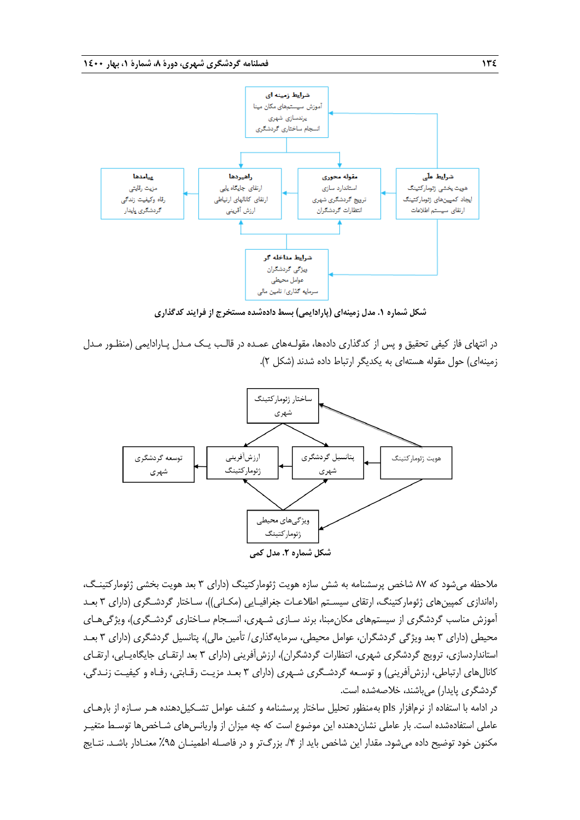

**شکل شماره .1 مدل زمینهای )پارادایمی( بسط دادهشده مستخرج از فرایند کدگذاری**

در انتهای فاز کیفی تحقیق و پس از کدگذاری دادهها، مقولـههای عمـده در قالـب یـک مـدل پـارادایمی )منظـور مـدل زمینهای) حول مقوله هستهای به یکدیگر ارتباط داده شدند (شکل ۲).



مالحظه میشود که 87 شاخص پرسشنامه به شش سازه هویت ژئومارکتینگ )دارای 3 بعد هویت بخشی ژئومارکتینـگ، راهاندازی کمپینهای ژئومارکتینگ، ارتقای سیسـتم اطالعـات جغرافیـایی )مکـانی((، سـاختار گردشـگری )دارای 3 بعـد آموزش مناسب گردشگری از سیستمهای مکان مبنا، برند سـازی شـهری، انسـجام سـاختاری گردشـگری)، ویژگیهـای محیطی (دارای ۳ بعد ویژگی گردشگران، عوامل محیطی، سرمایهگذاری/ تأمین مالی)، پتانسیل گردشگری (دارای ۳ بعـد استانداردسازی، ترویج گردشگری شهری، انتظارات گردشگران)، ارزشآفرینی (دارای ۳ بعد ارتقـای جایگاهیـابی، ارتقـای کانالهای ارتباطی، ارزشآفرینی) و توسـعه گردشـگری شـهری (دارای ۳ بعـد مزیـت رقـابتی، رفـاه و کیفیـت زنـدگی، گردشگری پایدار) می باشند، خلاصهشده است.

در ادامه با استفاده از نرمافزار pls بهمنظور تحلیل ساختار پرسشنامه و کشف عوامل تشـکیلدهنده هـر سـازه از بارهـای عاملی استفادهشده است. بار عاملی نشاندهنده این موضوع است که چه میزان از واریانسهای شـاخصها توسـ متغیـر مکنون خود توضیح داده میشود. مقدار این شاخص باید از ۴/. بزرگتر و در فاصـله اطمینـان ۹۵٪ معنـادار باشـد. نتـایج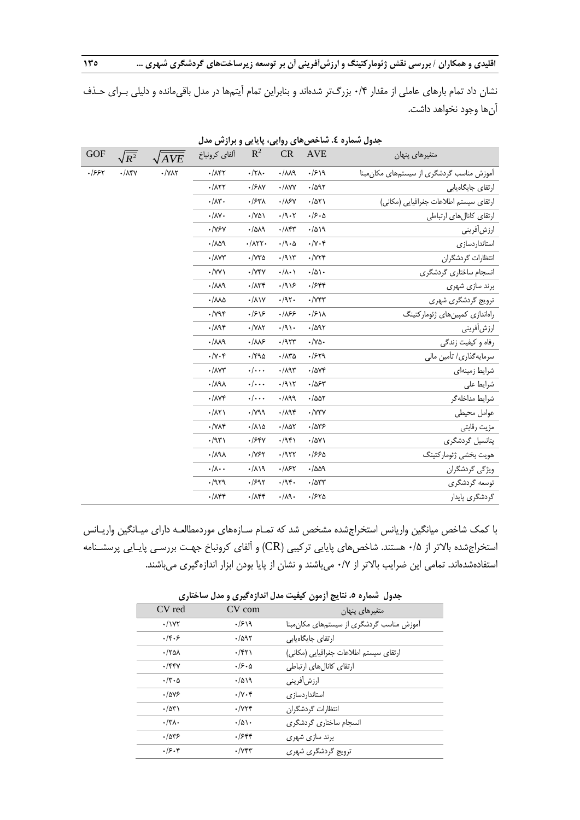نشان داد تمام بارهای عاملی از مقدار 0/4 بزرگتر شدهاند و بنابراین تمام آیتمها در مدل باقیمانده و دلیلی بـرای حـذف آنها وجود نخواهد داشت.

| <b>GOF</b> | $\sqrt{R^2}$       | $\sqrt{AVE}$ | ألفاي كرونباخ                        | $R^2$                                     | ${\sf CR}$                         | <b>AVE</b>                     | متغيرهاى پنهان                            |
|------------|--------------------|--------------|--------------------------------------|-------------------------------------------|------------------------------------|--------------------------------|-------------------------------------------|
| .1997      | $\cdot/\lambda$ ۴۷ | $\cdot$ /YAY | $\cdot/\lambda$ ۴۲                   | $\cdot/\gamma\Lambda$                     | $-M \cdot$                         | .1519                          | آموزش مناسب گردشگری از سیستمهای مکان مبنا |
|            |                    |              | $\cdot$ / $\wedge$ ۲۲                | $\cdot$ / $5\text{AY}$                    | $\cdot$ / $\wedge$ YY              | .7097                          | ارتقای جایگاهیابی                         |
|            |                    |              | $\cdot/\lambda$ ۳.                   | $.$ / $54\%$                              | $\cdot/\lambda$ ۶۷                 | .7071                          | ارتقاى سيستم اطلاعات جغرافيايي (مكاني)    |
|            |                    |              | $\cdot/\lambda V$                    | $\cdot$ /Y۵۱                              | $\cdot$ /9 $\cdot$ $\cdot$ $\cdot$ | .15.0                          | ارتقاى كانال هاى ارتباطى                  |
|            |                    |              | $\cdot$ /YSY                         | .7019                                     | $\cdot/\lambda$ ۴۳                 | .7019                          | ارزشأفريني                                |
|            |                    |              | .709                                 | $\cdot/\lambda$                           | $\cdot$ /9 $\cdot$ $\circ$         | $\cdot/\gamma \cdot \xi$       | استانداردسازى                             |
|            |                    |              | $\cdot/\wedge\wedge\wedge$           | $\cdot$ / $\vee\tilde{\vee}\tilde{\circ}$ | $\cdot$ /915                       | $\cdot$ / $\gamma\gamma\gamma$ | انتظارات گردشگران                         |
|            |                    |              | $\cdot$ /YY $\lambda$                | $\cdot$ / $\vee$ ۴۷                       | $\cdot/\lambda \cdot \lambda$      | $\cdot/\Delta$                 | انسجام ساختاري گردشگري                    |
|            |                    |              | .714                                 | $\cdot/\lambda$ ۳۴                        | .7915                              | .7544                          | برند سازى شهرى                            |
|            |                    |              | $\cdot / \lambda \lambda \Delta$     | $\cdot/\lambda$                           | .797.                              | $\cdot$ / $V$ ۴۳               | ترویج گردشگری شهری                        |
|            |                    |              | $\cdot$ / $\gamma$ ۹۴                | .1818                                     | .185                               | $\cdot$ / $5\lambda$           | راهاندازی کمپینهای ژئومارکتینگ            |
|            |                    |              | $\cdot/\lambda$ 94                   | $\cdot$ /YAY                              | $\cdot$ /9).                       | .7097                          | ارزشأفريني                                |
|            |                    |              | .114                                 | $\cdot/\lambda\lambda5$                   | .7977                              | $\cdot/\gamma\Delta$ .         | رفاه و کیفیت زندگی                        |
|            |                    |              | $\cdot/\gamma \cdot \xi$             | $\cdot$ /۴۹۵                              | $\cdot/\lambda \text{r} \Delta$    | .1579                          | سرمايه گذاري/ تأمين مالي                  |
|            |                    |              | $\cdot$ / $\wedge$                   | $\cdot/\cdot\cdot$                        | $\cdot/\lambda$ 95                 | $\cdot$ /074                   | شرايط زمينهاى                             |
|            |                    |              | $\lambda$ P $\lambda$                | $\cdot/\cdot\cdot$                        | .711                               | .1054                          | شرايط على                                 |
|            |                    |              | $\cdot/\Lambda\Upsilon$              | $\cdot/\cdot\cdot$                        | .71                                | $\cdot$ /۵۵۲                   | شرايط مداخله گر                           |
|            |                    |              | $\cdot/\lambda\Upsilon$              | $\cdot$ / $\gamma$ ۹                      | $\cdot/\lambda$ 94                 | $\cdot$ / $\vee$ ۳ $\vee$      | عوامل محيطى                               |
|            |                    |              | $\cdot$ / $\vee$ $\wedge$ $\uparrow$ | $\cdot/\lambda\backslash\Delta$           | $\cdot / \lambda \Delta \Upsilon$  | .7875                          | مزيت رقابتي                               |
|            |                    |              | .797                                 | $.$ / $54$                                | .7951                              | $\cdot/\Delta V$               | پتانسیل گردشگری                           |
|            |                    |              | $\lambda$ P $\lambda$                | $\cdot$ /Y۶۲                              | .1977                              | .1990                          | هويت بخشى ژئوماركتينگ                     |
|            |                    |              | $\cdot/\lambda \cdot \cdot$          | .719                                      | .187                               | .7009                          | ویژگی گردشگران                            |
|            |                    |              | .7979                                | .791                                      | .795.                              | $\cdot$ / $\Delta$ ۳۳          | توسعه گردشگری                             |
|            |                    |              | $\cdot/\lambda$ ۴۴                   | $\cdot/\lambda$ ۴۴                        | $\cdot/\lambda$ 9.                 | .1570                          | گردشگری پایدار                            |
|            |                    |              |                                      |                                           |                                    |                                |                                           |

**جدول شماره .4 شاخصهای روایی، پایایی و برازش مدل**

با کمک شاخص میانگین واریانس استخراجشده مشخص شد که تمـام سـازههای موردمطالعـه دارای میـانگین واریـانس استخراجشده بالاتر از ۰/۵ هستند. شاخصهای پایایی ترکیبی (CR) و آلفای کرونباخ جهـت بررسـی پایـایی پرسشـنامه استفادهشدهاند. تمامی این ضرایب باالتر از 0/7 میباشند و نشان از پایا بودن ابزار اندازهگیری میباشند.

| جدون کشتاره ». تنایج ارتقون کیلیک شان اندازه کیری و شان شاخلاری |                            |                                           |  |  |  |  |  |
|-----------------------------------------------------------------|----------------------------|-------------------------------------------|--|--|--|--|--|
| CV red                                                          | CV com                     | متغيرهاي پنهان                            |  |  |  |  |  |
| $\cdot$ / $\gamma\gamma$                                        | .1919                      | آموزش مناسب گردشگری از سیستمهای مکان مبنا |  |  |  |  |  |
| .4.5                                                            | .7097                      | ارتقای جایگاهیابی                         |  |  |  |  |  |
| $\cdot$ /٢۵۸                                                    | $\cdot$ /۴۲۱               | ارتقاى سيستم اطلاعات جغرافيايي (مكاني)    |  |  |  |  |  |
| $.$ /۴۴۷                                                        | .19.0                      | ارتقاى كانالهاى ارتباطي                   |  |  |  |  |  |
| $\cdot$ /٣ $\cdot$ ۵                                            | .7019                      | ارزشأفريني                                |  |  |  |  |  |
| .10Y5                                                           | $\cdot/\gamma \cdot f$     | استانداردسازى                             |  |  |  |  |  |
| $\cdot$ /53                                                     | $\cdot$ / $\gamma\gamma$ ۴ | انتظارات گردشگران                         |  |  |  |  |  |
| $\cdot/\tau\Lambda$                                             | .701                       | انسجام ساختاري گردشگري                    |  |  |  |  |  |
| .7845                                                           | .7588                      | برند سازی شهری                            |  |  |  |  |  |
| .19.8                                                           | $\cdot$ / $\gamma$ ۴۳      | ترويج گردشگري شهري                        |  |  |  |  |  |

**جدول شماره .5 نتایج آزمون کیفیت مدل اندازهگیری و مدل ساختاری**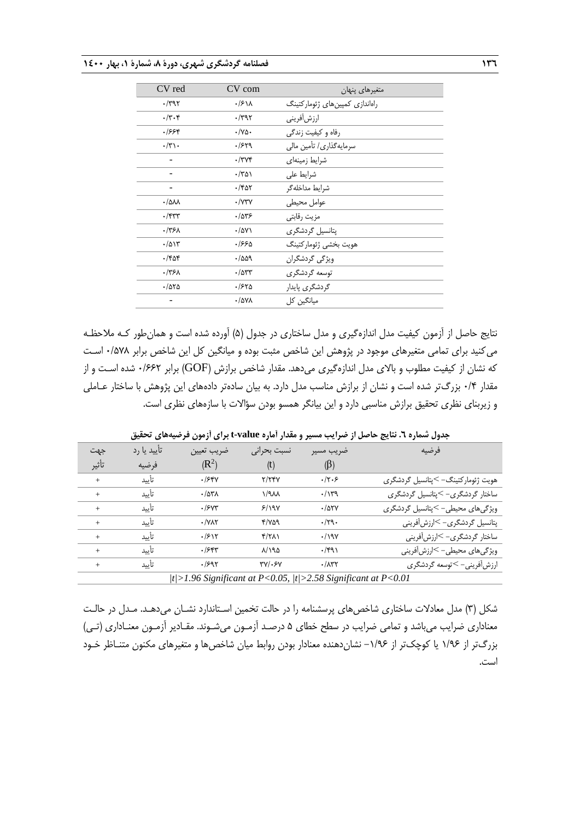| CV red                             | CV com               | متغيرهاي پنهان                 |
|------------------------------------|----------------------|--------------------------------|
| $\cdot$ /۳۹۲                       | $\cdot$ / $5\lambda$ | راهاندازی کمپینهای ژئومارکتینگ |
| $\cdot$ /۳ $\cdot$ ۴               | $\cdot$ /۳۹۲         | ارزشأفريني                     |
| ۶۶۴.                               | $\cdot$ /Ya $\cdot$  | رفاه و کیفیت زندگی             |
| $\cdot/\tau$ .                     | .1579                | سرمایهگذاری/ تأمین مالی        |
|                                    | $\cdot$ /۳۷۴         | شرايط زمينهاى                  |
|                                    | ۰/۳۵۱                | شرايط على                      |
|                                    | $\cdot$ /۴۵۲         | شرايط مداخله گر                |
| $\cdot$ / $\Delta \lambda \lambda$ | $\cdot$ /Y۳Y         | عوامل محيطى                    |
| $\cdot$ /۴۳۳                       | .785                 | مزيت رقابتى                    |
| .775 <sub>A</sub>                  | $\cdot$ /۵۷۱         | یتانسیل گردشگری                |
| .7015                              | ۶۶۵.                 | هويت بخشى ژئوماركتينگ          |
| $\cdot$ /۴۵۴                       | .7009                | ویژگی گردشگران                 |
| .775 <sub>A</sub>                  | $\cdot$ /۵۳۳         | توسعه گردشگری                  |
| $\cdot$ /550                       | ۳۶۲۵.                | گردشگری پایدار                 |
|                                    | $\cdot$ /۵۷۸         | میانگین کل                     |

نتایج حاصل از آزمون کیفیت مدل اندازهگیری و مدل ساختاری در جدول )5( آورده شده است و همانطور کـه مالحظـه میکنید برای تمامی متغیرهای موجود در پژوهش این شاخص مثبت بوده و میانگین کل این شاخص برابر 0/578 اسـت که نشان از کیفیت مطلوب و باالی مدل اندازهگیری میدهد. مقدار شاخص برازش )GOF )برابر 0/662 شده اسـت و از مقدار 0/4 بزرگتر شده است و نشان از برازش مناسب مدل دارد. به بیان سادهتر دادههای این پژوهش با ساختار عـاملی و زیربنای نظری تحقیق برازش مناسبی دارد و این بیانگر همسو بودن سؤاالت با سازههای نظری است.

**جدول شماره .6 نتایج حاصل از ضرایب مسیر و مقدار آماره value-t برای آزمون فرضیههای تحقیق**

| جهت                                                           | تأييد يا رد | ضريب تعيين            | نسبت بحرانى           | ضريب مسير         | فرضيه                              |  |
|---------------------------------------------------------------|-------------|-----------------------|-----------------------|-------------------|------------------------------------|--|
| تأثير                                                         | فرضيه       | $(R^2)$               | (t)                   | $(\beta)$         |                                    |  |
| $^{+}$                                                        | تأىد        | .158V                 | Y/YYV                 | .7.5              | هویت ژئومارکتینگ- >پتانسیل گردشگری |  |
| $\ddot{}$                                                     | تأىيد       | $\cdot$ / $\Delta$ ۳۸ | $\lambda$ A $\lambda$ | $\cdot/\gamma$ ۳۹ | ساختار گردشگری- >پتانسیل گردشگری   |  |
| $^{+}$                                                        | تأىيد       | .790                  | 5/19V                 | .705Y             | ویژگیهای محیطی- >پتانسیل گردشگری   |  |
| $^{+}$                                                        | تأىد        | $\cdot$ / $\sqrt{2}$  | 4/YA9                 | .79.              | پتانسیل گردشگری- >ارزشآفرینی       |  |
| $\ddot{}$                                                     | تأىيد       | .7517                 | $f/\gamma\lambda$     | $\cdot$ /198      | ساختار گردشگری- >ارزشآفرینی        |  |
| $\ddot{}$                                                     | تأىيد       | $.$ /۶۴۳              | $\lambda$ /194        | .791              | ویژگیهای محیطی- >ارزش[فرینی        |  |
| $^{+}$                                                        | تأىيد       | .1597                 | $TV$ . $SV$           | .77               | ارزش آفرینی- >توسعه گردشگری        |  |
| t >1.96 Significant at P<0.05,  t >2.58 Significant at P<0.01 |             |                       |                       |                   |                                    |  |

شکل )3( مدل معادالت ساختاری شاخصهای پرسشنامه را در حالت تخمین اسـتاندارد نشـان میدهـد. مـدل در حالـت معناداری ضرایب میباشد و تمامی ضرایب در سطح خطای 5 درصـد آزمـون میشـوند. مقـادیر آزمـون معنـاداری )تـی( بزرگتر از ۱/۹۶ یا کوچکتر از ۱/۹۶– نشان دهنده معنادار بودن روابط میان شاخصها و متغیرهای مکنون متنـاظر خـود است.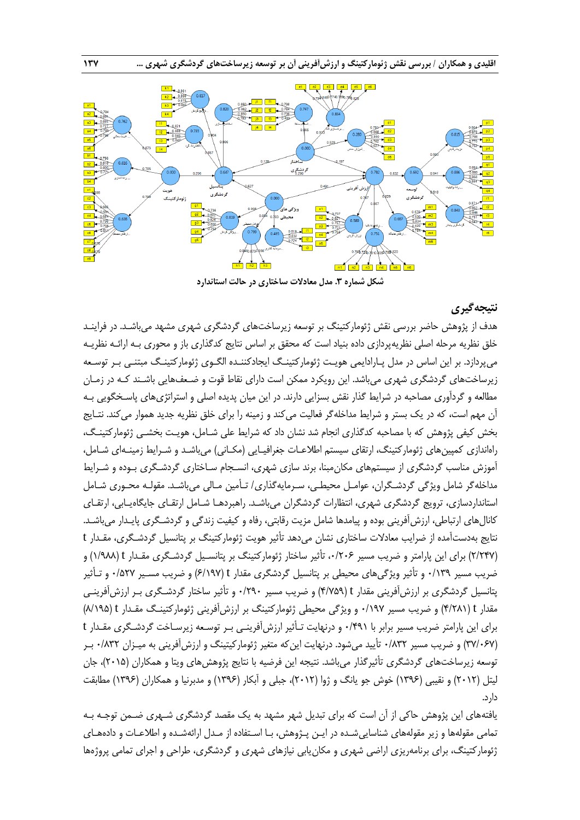

**شکل شماره .3 مدل معادالت ساختاری در حالت استاندارد**

## **نتیجهگیری**

هدف از پژوهش حاضر بررسی نقش ژئومارکتینگ بر توسعه زیرساختهای گردشگری شهری مشهد میباشـد. در فراینـد خلق نظریه مرحله اصلی نظریهپردازی داده بنیاد است که محقق بر اساس نتایج کدگذاری باز و محوری بـه ارائـه نظریـه میپردازد. بر این اساس در مدل پـارادایمی هویـت ژئومارکتینـگ ایجادکننـده الگـوی ژئومارکتینـگ مبتنـی بـر توسـعه زیرساختهای گردشگری شهری میباشد. این رویکرد ممکن است دارای نقاط قوت و ضـعفهایی باشـند کـه در زمـان مطالعه و گردآوری مصاحبه در شرایط گذار نقش بسزایی دارند. در این میان پدیده اصلی و استراتژیهای پاسـخگویی بـه آن مهم است، که در یک بستر و شرایط مداخلهگر فعالیت میکند و زمینه را برای خلق نظریه جدید هموار میکند. نتـایج بخش کیفی پژوهش که با مصاحبه کدگذاری انجام شد نشان داد که شرایط علی شـامل، هویـت بخشـی ژئومارکتینـگ، راهاندازی کمپینهای ژئومارکتینگ، ارتقای سیستم اطلاعـات جغرافیـایی (مکـانی) میباشـد و شـرایط زمینـهای شـامل، آموزش مناسب گردشگری از سیستمهای مکانمبنا، برند سازی شهری، انسـجام سـاختاری گردشـگری بـوده و شـرای مداخلهگر شامل ویژگی گردشـگران، عوامـل محیطـی، سـرمایهگذاری/ تـأمین مـالی میباشـد. مقولـه محـوری شـامل استانداردسازی، ترویج گردشگری شهری، انتظارات گردشگران میباشـد. راهبردهـا شـامل ارتقـای جایگاهیـابی، ارتقـای کانالهای ارتباطی، ارزشآفرینی بوده و پیامدها شامل مزیت رقابتی، رفاه و کیفیت زندگی و گردشـگری پایـدار میباشـد. نتایج بهدستآمده از ضرایب معادالت ساختاری نشان میدهد تأثیر هویت ژئومارکتینگ بر پتانسیل گردشـگری، مقـدار t )2/247( برای این پارامتر و ضریب مسیر ،0/206 تأثیر ساختار ژئومارکتینگ بر پتانسـیل گردشـگری مقـدار t( 1/988 )و ضریب مسیر 0/139 و تأثیر ویژگیهای محیطی بر پتانسیل گردشگری مقدار t( 6/197 )و ضریب مسـیر 0/527 و تـأثیر پتانسیل گردشگری بر ارزشآفرینی مقدار t( 4/759 )و ضریب مسیر 0/290 و تأثیر ساختار گردشـگری بـر ارزشآفرینـی مقدار t( 4/281 )و ضریب مسیر 0/197 و ویژگی محیطی ژئومارکتینگ بر ارزشآفرینی ژئومارکتینـگ مقـدار t( 8/195 ) برای این پارامتر ضریب مسیر برابر با 0/491 و درنهایت تـأثیر ارزشآفرینـی بـر توسـعه زیرسـاخت گردشـگری مقـدار t )37/067( و ضریب مسیر 0/832 تأیید میشود. درنهایت اینکه متغیر ژئومارکیتینگ و ارزشآفرینی به میـزان 0/832 بـر توسعه زیرساختهای گردشگری تأثیرگذار میباشد. نتیجه این فرضیه با نتایج پژوهشهای ویتا و همکاران )2015(، جان لیتل )2012( و نقیبی )1396( خوش جو یانگ و ژوا )2012(، جبلی و آبکار )1396( و مدبرنیا و همکاران )1396( مطابقت دارد.

یافتههای این پژوهش حاکی از آن است که برای تبدیل شهر مشهد به یک مقصد گردشگری شـهری ضـمن توجـه بـه تمامی مقولهها و زیر مقولههای شناساییشـده در ایـن پـژوهش، بـا اسـتفاده از مـدل ارائهشـده و اطالعـات و دادههـای ژئومارکتینگ، برای برنامهریزی اراضی شهری و مکانیابی نیازهای شهری و گردشگری، طراحی و اجرای تمامی پروژهها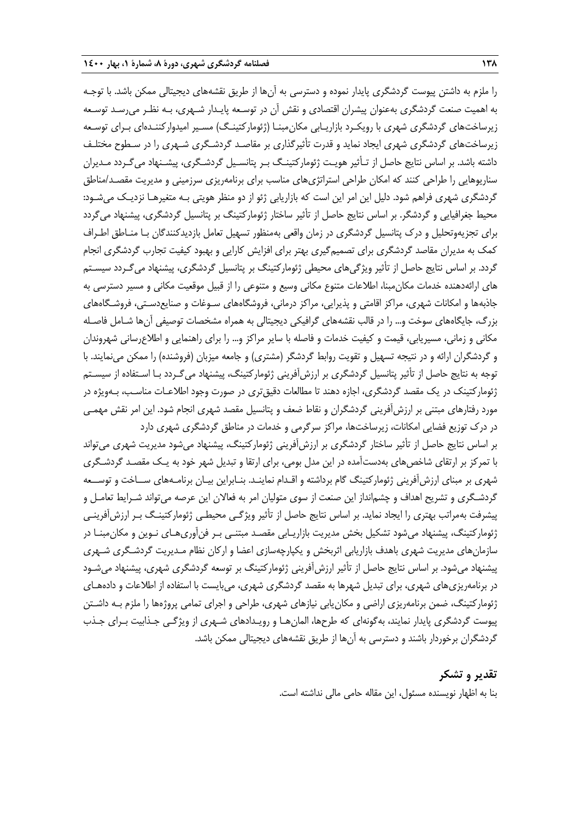را ملزم به داشتن پیوست گردشگری پایدار نموده و دسترسی به آنها از طریق نقشههای دیجیتالی ممکن باشد. با توجـه به اهمیت صنعت گردشگری بهعنوان پیشران اقتصادی و نقش آن در توسـعه پایـدار شـهری، بـه نظـر میرسـد توسـعه زیرساختهای گردشگری شهری با رویکـرد بازاریـابی مکان۵مبنـا (ژئومارکتینـگ) مسـیر امیدوارکننـدهای بـرای توسـعه زیرساختهای گردشگری شهری ایجاد نماید و قدرت تأثیرگذاری بر مقاصـد گردشـگری شـهری را در سـطوح مختلـف داشته باشد. بر اساس نتایج حاصل از تـأثیر هویـت ژئومارکتینـگ بـر پتانسـیل گردشـگری، پیشـنهاد میگـردد مـدیران سناریوهایی را طراحی کنند که امکان طراحی استراتژیهای مناسب برای برنامهریزی سرزمینی و مدیریت مقصـد/مناطق گردشگری شهری فراهم شود. دلیل این امر این است که بازاریابی ژئو از دو منظر هویتی بـه متغیرهـا نزدیـک میشـود: محیط جغرافیایی و گردشگر. بر اساس نتایج حاصل از تأثیر ساختار ژئومارکتینگ بر پتانسیل گردشگری، پیشنهاد میگردد برای تجزیهوتحلیل و درك پتانسیل گردشگری در زمان واقعی بهمنظور تسهیل تعامل بازدیدکنندگان بـا منـاطق اطـراف کمک به مدیران مقاصد گردشگری برای تصمیمگیری بهتر برای افزایش کارایی و بهبود کیفیت تجارب گردشگری انجام گردد. بر اساس نتایج حاصل از تأثیر ویژگیهای محیطی ژئومارکتینگ بر پتانسیل گردشگری، پیشنهاد میگـردد سیسـتم های ارائهدهنده خدمات مکانمبنا، اطالعات متنوع مکانی وسیع و متنوعی را از قبیل موقعیت مکانی و مسیر دسترسی به جاذبهها و امکانات شهری، مراکز اقامتی و پذیرایی، مراکز درمانی، فروشگاههای سـوغات و صنایعدسـتی، فروشـگاههای بزرگ، جایگاههای سوخت و... را در قالب نقشههای گرافیکی دیجیتالی به همراه مشخصات توصیفی آنها شـامل فاصـله مکانی و زمانی، مسیریابی، قیمت و کیفیت خدمات و فاصله با سایر مراکز و... را برای راهنمایی و اطالعرسانی شهروندان و گردشگران ارائه و در نتیجه تسهیل و تقویت روابط گردشگر (مشتری) و جامعه میزبان (فروشنده) را ممکن مینمایند. با توجه به نتایج حاصل از تأثیر پتانسیل گردشگری بر ارزشآفرینی ژئومارکتینگ، پیشنهاد میگـردد بـا اسـتفاده از سیسـتم ژئومارکتینک در یک مقصد گردشگری، اجازه دهند تا مطالعات دقیقتری در صورت وجود اطالعـات مناسـب، بـهویژه در مورد رفتارهای مبتنی بر ارزشآفرینی گردشگران و نقاط ضعف و پتانسیل مقصد شهری انجام شود. این امر نقش مهمـی در درك توزیع فضایی امکانات، زیرساختها، مراکز سرگرمی و خدمات در مناطق گردشگری شهری دارد بر اساس نتایج حاصل از تأثیر ساختار گردشگری بر ارزشآفرینی ژئومارکتینگ، پیشنهاد میشود مدیریت شهری میتواند با تمرکز بر ارتقای شاخصهای بهدستآمده در این مدل بومی، برای ارتقا و تبدیل شهر خود به یـک مقصـد گردشـگری شهری بر مبنای ارزشآفرینی ژئومارکتینگ گام برداشته و اقـدام نماینـد. بنـابراین بیـان برنامـههای ســاخت و توســعه گردشـگری و تشریح اهداف و چشم|نداز این صنعت از سوی متولیان امر به فعالان این عرصه میتواند شـرایط تعامـل و پیشرفت بهمراتب بهتری را ایجاد نماید. بر اساس نتایج حاصل از تأثیر ویژگـی محیطـی ژئومارکتینـگ بـر ارزشآفرینـی ژئومارکتینگ، پیشنهاد میشود تشکیل بخش مدیریت بازاریـابی مقصـد مبتنـی بـر فنآوریهـای نـوین و مکانمبنـا در

سازمانهای مدیریت شهری باهدف بازاریابی اثربخش و یکپارچهسازی اعضا و ارکان نظام مـدیریت گردشـگری شـهری پیشنهاد میشود. بر اساس نتایج حاصل از تأثیر ارزشآفرینی ژئومارکتینگ بر توسعه گردشگری شهری، پیشنهاد میشـود در برنامهریزیهای شهری، برای تبدیل شهرها به مقصد گردشگری شهری، میبایست با استفاده از اطالعات و دادههـای ژئومارکتینگ، ضمن برنامهریزی اراضی و مکانیابی نیازهای شهری، طراحی و اجرای تمامی پروژهها را ملزم بـه داشـتن پیوست گردشگری پایدار نمایند، بهگونهای که طرحها، المانهـا و رویـدادهای شـهری از ویژگـی جـذابیت بـرای جـذب

> **تقدیر و تشکر** بنا به اظهار نویسنده مسئول، این مقاله حامی مالی نداشته است.

گردشگران برخوردار باشند و دسترسی به آنها از طریق نقشههای دیجیتالی ممکن باشد.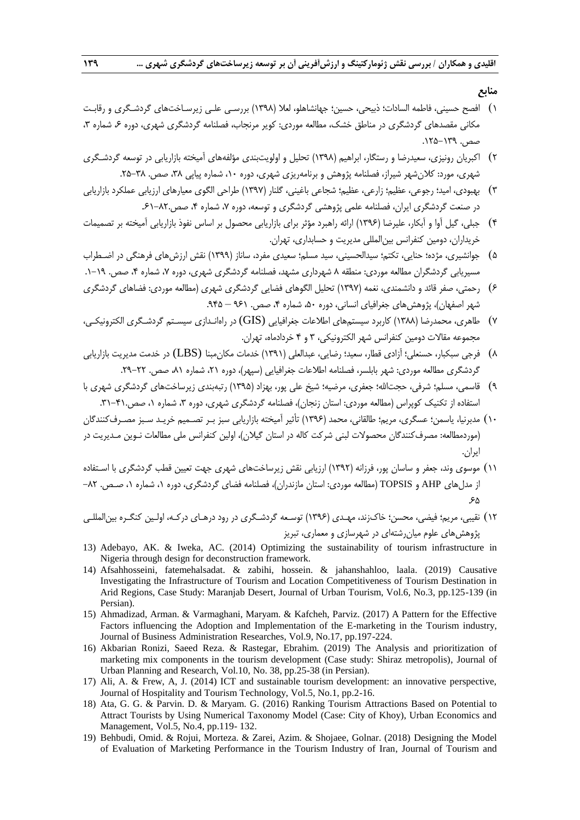**منابع**

- 1( افصح حسینی، فاطمه السادات؛ ذبیحی، حسین؛ جهانشاهلو، لعال )1398( بررسـی علـی زیرسـاختهای گردشـگری و رقابـت مکانی مقصدهای گردشگری در مناطق خشک، مطالعه موردی: کویر مرنجاب، فصلنامه گردشگری شهری، دوره ۶ شماره ۳، صص. .125-139
- 2( اکبریان رونیزی، سعیدرضا و رستگار، ابراهیم )1398( تحلیل و اولویتبندی مؤلفههای آمیخته بازاریابی در توسعه گردشـگری شهری، مورد: کلان شهر شیراز، فصلنامه پژوهش و برنامهریزی شهری، دوره ۱۰، شماره پیاپی ۳۸، صص. ۳۸-۲۵.
- 3( بهبودی، امید؛ رجوعی، عظیم؛ زارعی، عظیم؛ شجاعی باغینی، گلنار )1397( طراحی الگوی معیارهای ارزیابی عملکرد بازاریابی در صنعت گردشگری ایران، فصلنامه علمی پژوهشی گردشگری و توسعه، دوره ۷، شماره ۴، صص.۸۲-۶۱.
- 4( جبلی، گیل آوا و آبکار، علیرضا )1396( ارائه راهبرد مؤثر برای بازاریابی محصول بر اساس نفوذ بازاریابی آمیخته بر تصمیمات خریداران، دومین کنفرانس بینالمللی مدیریت و حسابداری، تهران.
- 5( جوانشیری، مژده؛ حنایی، تکتم؛ سیدالحسینی، سید مسلم؛ سعیدی مفرد، ساناز )1399( نقش ارزشهای فرهنگی در اضـطراب مسیریابی گردشگران مطالعه موردی: منطقه ۸ شهرداری مشهد، فصلنامه گردشگری شهری، دوره ۷، شماره ۴، صص. ۱۹–۱.
- 6( رحمتی، صفر قائد و دانشمندی، نغمه )1397( تحلیل الگوهای فضایی گردشگری شهری )مطالعه موردی: فضاهای گردشگری شهر اصفهان)، پژوهش های جغرافیای انسانی، دوره ۵۰، شماره ۴، صص. ۹۶۱ – ۹۴۵.
- 7( طاهری، محمدرضا )1388( کاربرد سیستمهای اطالعات جغرافیایی (GIS (در راهانـدازی سیسـتم گردشـگری الکترونیکـی، مجموعه مقاالت دومین کنفرانس شهر الکترونیکی، 3 و 4 خردادماه، تهران.
- 8( فرجی سبکبار، حسنعلی؛ آزادی قطار، سعید؛ رضایی، عبدالعلی )1391( خدمات مکانمبنا (LBS (در خدمت مدیریت بازاریابی گردشگری مطالعه موردی: شهر بابلسر، فصلنامه اطلاعات جغرافیایی (سپهر)، دوره ۲۱، شماره ۸۱، صص. ۲۲–۲۹.
- 9( قاسمی، مسلم؛ شرفی، حجتاهلل؛ جعفری، مرضیه؛ شیخ علی پور، بهزاد )1395( رتبهبندی زیرساختهای گردشگری شهری با استفاده از تکنیک کوپراس (مطالعه موردی: استان زنجان)، فصلنامه گردشگری شهری، دوره ۳، شماره ۰، صص.۴۱-۳۱.
- 10( مدبرنیا، یاسمن؛ عسگری، مریم؛ طالقانی، محمد )1396( تأثیر آمیخته بازاریابی سبز بـر تصـمیم خریـد سـبز مصـرفکنندگان )موردمطالعه: مصرفکنندگان محصوالت لبنی شرکت کاله در استان گیالن(، اولین کنفرانس ملی مطالعات نـوین مـدیریت در ایران.
- 11( موسوی وند، جعفر و ساسان پور، فرزانه )1392( ارزیابی نقش زیرساختهای شهری جهت تعیین قطب گردشگری با اسـتفاده از مدلهای AHP و TOPSIS( مطالعه موردی: استان مازندران(، فصلنامه فضای گردشگری، دوره ،1 شماره ،1 صـص. -82 .65
- 12( نقیبی، مریم؛ فیضی، محسن؛ خاكزند، مهـدی )1396( توسـعه گردشـگری در رود درهـای درکـه، اولـین کنگـره بینالمللـی پژوهشهای علوم میانرشتهای در شهرسازی و معماری، تبریز
- 13) Adebayo, AK. & Iweka, AC. (2014) Optimizing the sustainability of tourism infrastructure in Nigeria through design for deconstruction framework.
- 14) Afsahhosseini, fatemehalsadat. & zabihi, hossein. & jahanshahloo, laala. (2019) Causative Investigating the Infrastructure of Tourism and Location Competitiveness of Tourism Destination in Arid Regions, Case Study: Maranjab Desert, Journal of Urban Tourism, Vol.6, No.3, pp.125-139 (in Persian).
- 15) Ahmadizad, Arman. & Varmaghani, Maryam. & Kafcheh, Parviz. (2017) A Pattern for the Effective Factors influencing the Adoption and Implementation of the E-marketing in the Tourism industry, Journal of Business Administration Researches, Vol.9, No.17, pp.197-224.
- 16) Akbarian Ronizi, Saeed Reza. & Rastegar, Ebrahim. (2019) The Analysis and prioritization of marketing mix components in the tourism development (Case study: Shiraz metropolis), Journal of Urban Planning and Research, Vol.10, No. 38, pp.25-38 (in Persian).
- 17) Ali, A. & Frew, A, J. (2014) ICT and sustainable tourism development: an innovative perspective, Journal of Hospitality and Tourism Technology, Vol.5, No.1, pp.2-16.
- 18) Ata, G. G. & Parvin. D. & Maryam. G. (2016) Ranking Tourism Attractions Based on Potential to Attract Tourists by Using Numerical Taxonomy Model (Case: City of Khoy), Urban Economics and Management, Vol.5, No.4, pp.119- 132.
- 19) Behbudi, Omid. & Rojui, Morteza. & Zarei, Azim. & Shojaee, Golnar. (2018) Designing the Model of Evaluation of Marketing Performance in the Tourism Industry of Iran, Journal of Tourism and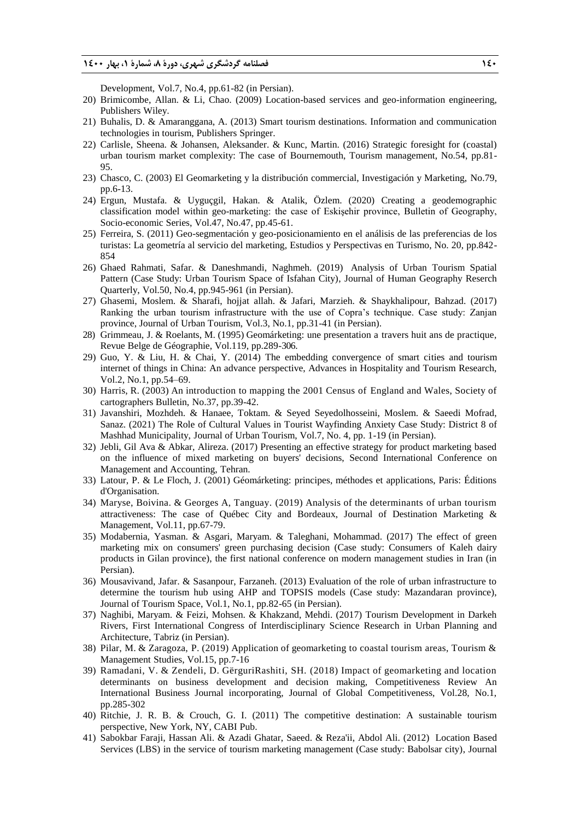Development, Vol.7, No.4, pp.61-82 (in Persian).

- 20) Brimicombe, Allan. & Li, Chao. (2009) Location-based services and geo-information engineering, Publishers Wiley.
- 21) Buhalis, D. & Amaranggana, A. (2013) Smart tourism destinations. Information and communication technologies in tourism, Publishers Springer.
- 22) Carlisle, Sheena. & Johansen, Aleksander. & Kunc, Martin. (2016) Strategic foresight for (coastal) urban tourism market complexity: The case of Bournemouth, Tourism management, No.54, pp.81- 95.
- 23) Chasco, C. (2003) El Geomarketing y la distribución commercial, Investigación y Marketing, No.79, pp.6-13.
- 24) Ergun, Mustafa. & Uyguçgil, Hakan. & Atalik, Özlem. (2020) Creating a geodemographic classification model within geo-marketing: the case of Eskişehir province, Bulletin of Geography, Socio-economic Series, Vol.47, No.47, pp.45-61.
- 25) Ferreira, S. (2011) Geo-segmentación y geo-posicionamiento en el análisis de las preferencias de los turistas: La geometría al servicio del marketing, Estudios y Perspectivas en Turismo, No. 20, pp.842- 854
- 26) Ghaed Rahmati, Safar. & Daneshmandi, Naghmeh. (2019) Analysis of Urban Tourism Spatial Pattern (Case Study: Urban Tourism Space of Isfahan City), Journal of Human Geography Reserch Quarterly, Vol.50, No.4, pp.945-961 (in Persian).
- 27) Ghasemi, Moslem. & Sharafi, hojjat allah. & Jafari, Marzieh. & Shaykhalipour, Bahzad. (2017) Ranking the urban tourism infrastructure with the use of Copra's technique. Case study: Zanjan province, Journal of Urban Tourism, Vol.3, No.1, pp.31-41 (in Persian).
- 28) Grimmeau, J. & Roelants, M. (1995) Geomárketing: une presentation a travers huit ans de practique, Revue Belge de Géographie, Vol.119, pp.289-306.
- 29) Guo, Y. & Liu, H. & Chai, Y. (2014) The embedding convergence of smart cities and tourism internet of things in China: An advance perspective, Advances in Hospitality and Tourism Research, Vol.2, No.1, pp.54–69.
- 30) Harris, R. (2003) An introduction to mapping the 2001 Census of England and Wales, Society of cartographers Bulletin, No.37, pp.39-42.
- 31) Javanshiri, Mozhdeh. & Hanaee, Toktam. & Seyed Seyedolhosseini, Moslem. & Saeedi Mofrad, Sanaz. (2021) The Role of Cultural Values in Tourist Wayfinding Anxiety Case Study: District 8 of Mashhad Municipality, Journal of Urban Tourism, Vol.7, No. 4, pp. 1-19 (in Persian).
- 32) Jebli, Gil Ava & Abkar, Alireza. (2017) Presenting an effective strategy for product marketing based on the influence of mixed marketing on buyers' decisions, Second International Conference on Management and Accounting, Tehran.
- 33) Latour, P. & Le Floch, J. (2001) Géomárketing: principes, méthodes et applications, Paris: Éditions d'Organisation.
- 34) Maryse, Boivina. & Georges A, Tanguay. (2019) Analysis of the determinants of urban tourism attractiveness: The case of Québec City and Bordeaux, Journal of Destination Marketing & Management, Vol.11, pp.67-79.
- 35) Modabernia, Yasman. & Asgari, Maryam. & Taleghani, Mohammad. (2017) The effect of green marketing mix on consumers' green purchasing decision (Case study: Consumers of Kaleh dairy products in Gilan province), the first national conference on modern management studies in Iran (in Persian).
- 36) Mousavivand, Jafar. & Sasanpour, Farzaneh. (2013) Evaluation of the role of urban infrastructure to determine the tourism hub using AHP and TOPSIS models (Case study: Mazandaran province), Journal of Tourism Space, Vol.1, No.1, pp.82-65 (in Persian).
- 37) Naghibi, Maryam. & Feizi, Mohsen. & Khakzand, Mehdi. (2017) Tourism Development in Darkeh Rivers, First International Congress of Interdisciplinary Science Research in Urban Planning and Architecture, Tabriz (in Persian).
- 38) Pilar, M. & Zaragoza, P. (2019) Application of geomarketing to coastal tourism areas, Tourism & Management Studies, Vol.15, pp.7-16
- 39) Ramadani, V. & Zendeli, D. GërguriRashiti, SH. (2018) Impact of geomarketing and location determinants on business development and decision making, Competitiveness Review An International Business Journal incorporating, Journal of Global Competitiveness, Vol.28, No.1, pp.285-302
- 40) Ritchie, J. R. B. & Crouch, G. I. (2011) The competitive destination: A sustainable tourism perspective, New York, NY, CABI Pub.
- 41) Sabokbar Faraji, Hassan Ali. & Azadi Ghatar, Saeed. & Reza'ii, Abdol Ali. (2012) Location Based Services (LBS) in the service of tourism marketing management (Case study: Babolsar city), Journal